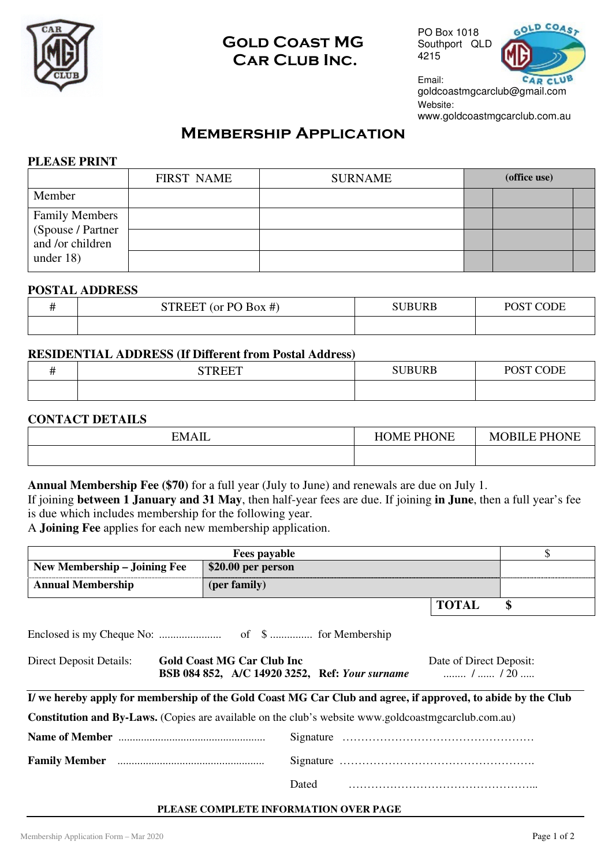

# Gold Coast MG CAR CLUB INC.

PO Box 1018 Southport QLD 4215



Email: goldcoastmgcarclub@gmail.com Website: www.goldcoastmgcarclub.com.au

# **MEMBERSHIP APPLICATION**

### **PLEASE PRINT**

|                                        | <b>FIRST NAME</b> | <b>SURNAME</b> | (office use) |  |
|----------------------------------------|-------------------|----------------|--------------|--|
| Member                                 |                   |                |              |  |
| <b>Family Members</b>                  |                   |                |              |  |
| (Spouse / Partner)<br>and /or children |                   |                |              |  |
| under $18$ )                           |                   |                |              |  |

### **POSTAL ADDRESS**

| <b>STREET</b><br>$\Gamma$ (or PO Box #) | <b>SUBURB</b> | POST CODE |
|-----------------------------------------|---------------|-----------|
|                                         |               |           |

### **RESIDENTIAL ADDRESS (If Different from Postal Address)**

| $\alpha$ mn mmm | <b>SUBURB</b> | POST CODE<br>POS <sub>1</sub> |
|-----------------|---------------|-------------------------------|
|                 |               |                               |

### **CONTACT DETAILS**

| <b>EMAIL</b> | <b>PHONE</b><br><b>HOME</b> | <b>MOBILE PHONE</b> |
|--------------|-----------------------------|---------------------|
|              |                             |                     |

**Annual Membership Fee (\$70)** for a full year (July to June) and renewals are due on July 1.

If joining **between 1 January and 31 May**, then half-year fees are due. If joining **in June**, then a full year's fee is due which includes membership for the following year.

A **Joining Fee** applies for each new membership application.

| <b>Fees payable</b>          |                    |       |  |
|------------------------------|--------------------|-------|--|
| New Membership – Joining Fee | \$20.00 per person |       |  |
| <b>Annual Membership</b>     | (per family)       |       |  |
|                              |                    | TOTAL |  |

Enclosed is my Cheque No: ...................... of \$ ............... for Membership

| <b>Direct Deposit Details:</b> | <b>Gold Coast MG Car Club Inc</b> |                                                | Date of Direct Deposit: |
|--------------------------------|-----------------------------------|------------------------------------------------|-------------------------|
|                                |                                   | BSB 084 852, A/C 14920 3252, Ref: Your surname | /  / 20                 |

#### **I/ we hereby apply for membership of the Gold Coast MG Car Club and agree, if approved, to abide by the Club**

**Constitution and By-Laws.** (Copies are available on the club's website www.goldcoastmgcarclub.com.au)

**Name of Member** .................................................... Signature …………………………………………… **Family Member** .................................................... Signature ……………………………………………. Dated …………………………………………...

### **PLEASE COMPLETE INFORMATION OVER PAGE**